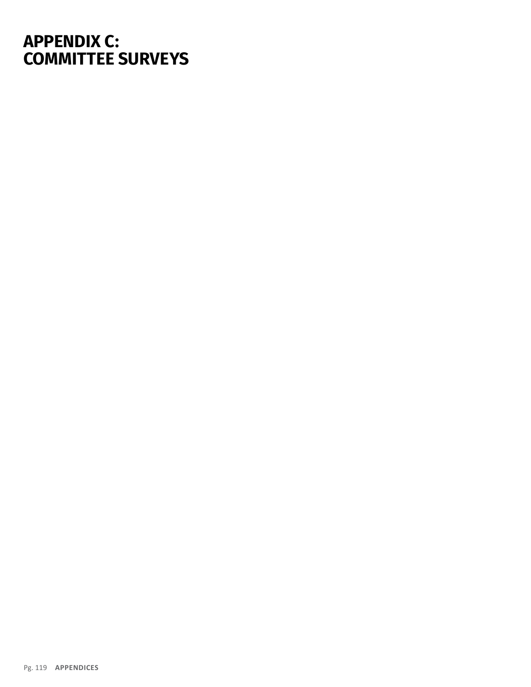## **APPENDIX C: COMMITTEE SURVEYS**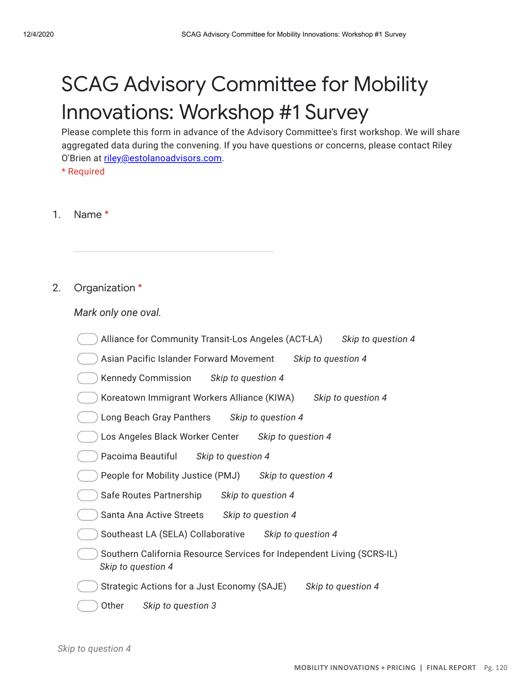# **SCAG Advisory Committee for Mobility** Innovations: Workshop #1 Survey

Please complete this form in advance of the Advisory Committee's first workshop. We will share aggregated data during the convening. If you have questions or concerns, please contact Riley O'Brien at riley@estolanoadvisors.com.

\* Required

#### 1. Name \*

#### 2. Organization \*

### *Mark only one oval.*

| Alliance for Community Transit-Los Angeles (ACT-LA)<br>Skip to question 4                    |
|----------------------------------------------------------------------------------------------|
| Asian Pacific Islander Forward Movement<br>Skip to question 4                                |
| Kennedy Commission Skip to question 4                                                        |
| Koreatown Immigrant Workers Alliance (KIWA)<br>Skip to question 4                            |
| Long Beach Gray Panthers<br>Skip to question 4                                               |
| Los Angeles Black Worker Center<br>Skip to question 4                                        |
| Pacoima Beautiful<br>Skip to question 4                                                      |
| People for Mobility Justice (PMJ)<br>Skip to question 4                                      |
| Safe Routes Partnership<br>Skip to question 4                                                |
| Santa Ana Active Streets<br>Skip to question 4                                               |
| Southeast LA (SELA) Collaborative<br>Skip to question 4                                      |
| Southern California Resource Services for Independent Living (SCRS-IL)<br>Skip to question 4 |
| Strategic Actions for a Just Economy (SAJE)<br>Skip to question 4                            |
| Other<br>Skip to question 3                                                                  |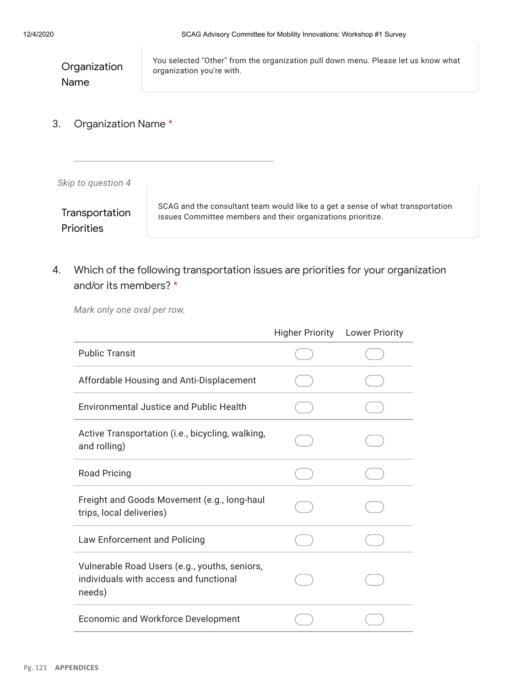| Organization | You selected "Other" from the organization pull down menu. Please let us know what<br>organization you're with. |
|--------------|-----------------------------------------------------------------------------------------------------------------|
| Name         |                                                                                                                 |

3. Organization Name \*

*Skip to question 4*

Transportation **Priorities** 

SCAG and the consultant team would like to a get a sense of what transportation issues Committee members and their organizations prioritize.

4. Which of the following transportation issues are priorities for your organization and/or its members? \*

*Mark only one oval per row.*

|                                                                                                   | <b>Higher Priority</b> | <b>Lower Priority</b> |
|---------------------------------------------------------------------------------------------------|------------------------|-----------------------|
| <b>Public Transit</b>                                                                             |                        |                       |
| Affordable Housing and Anti-Displacement                                                          |                        |                       |
| Environmental Justice and Public Health                                                           |                        |                       |
| Active Transportation (i.e., bicycling, walking,<br>and rolling)                                  |                        |                       |
| <b>Road Pricing</b>                                                                               |                        |                       |
| Freight and Goods Movement (e.g., long-haul<br>trips, local deliveries)                           |                        |                       |
| Law Enforcement and Policing                                                                      |                        |                       |
| Vulnerable Road Users (e.g., youths, seniors,<br>individuals with access and functional<br>needs) |                        |                       |
| <b>Economic and Workforce Development</b>                                                         |                        |                       |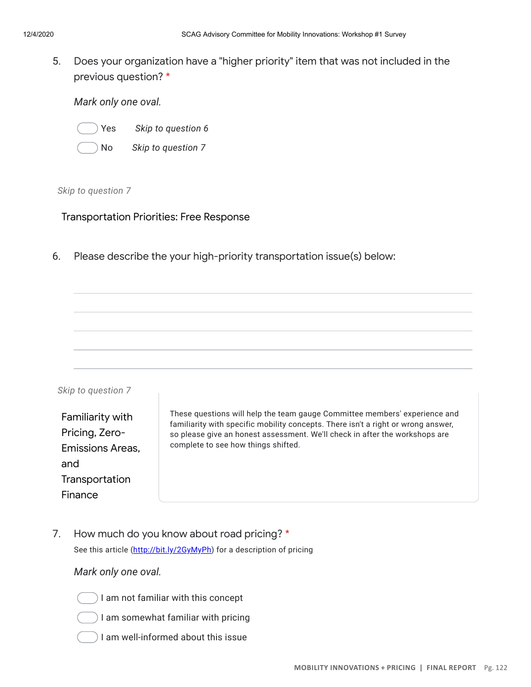5. Does your organization have a "higher priority" item that was not included in the previous question? \*

*Mark only one oval.*

- - Yes *Skip to question 6*
	- No *Skip to question 7*

### *Skip to question 7*

## Transportation Priorities: Free Response

6. Please describe the your high-priority transportation issue(s) below:

| Skip to question 7                                                   |                                                                                                                                                                                                                                                                                       |
|----------------------------------------------------------------------|---------------------------------------------------------------------------------------------------------------------------------------------------------------------------------------------------------------------------------------------------------------------------------------|
| Familiarity with<br>Pricing, Zero-<br><b>Emissions Areas.</b><br>and | These questions will help the team gauge Committee members' experience and<br>familiarity with specific mobility concepts. There isn't a right or wrong answer,<br>so please give an honest assessment. We'll check in after the workshops are<br>complete to see how things shifted. |
| Transportation                                                       |                                                                                                                                                                                                                                                                                       |
| Finance                                                              |                                                                                                                                                                                                                                                                                       |

7. How much do you know about road pricing? \* See this article (http://bit.ly/2GyMyPh) for a description of pricing

## *Mark only one oval.*

- I am not familiar with this concept
- ) I am somewhat familiar with pricing
- $)$  I am well-informed about this issue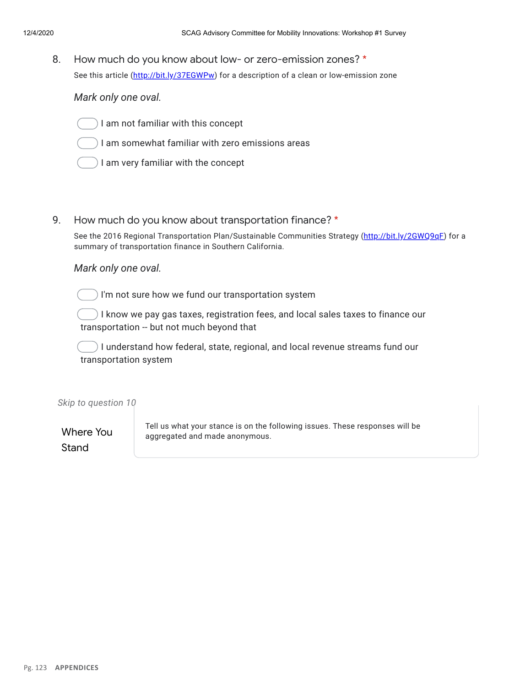8. How much do you know about low- or zero-emission zones? \* See this article (http://bit.ly/37EGWPw) for a description of a clean or low-emission zone

### *Mark only one oval.*

- I am not familiar with this concept
- I am somewhat familiar with zero emissions areas
- I am very familiar with the concept
- 9. How much do you know about transportation finance? \*

See the 2016 Regional Transportation Plan/Sustainable Communities Strategy (http://bit.ly/2GWQ9qE) for a summary of transportation finance in Southern California.

#### *Mark only one oval.*

I'm not sure how we fund our transportation system

I know we pay gas taxes, registration fees, and local sales taxes to finance our transportation -- but not much beyond that

) I understand how federal, state, regional, and local revenue streams fund our transportation system

*Skip to question 10*

Where You Stand

Tell us what your stance is on the following issues. These responses will be aggregated and made anonymous.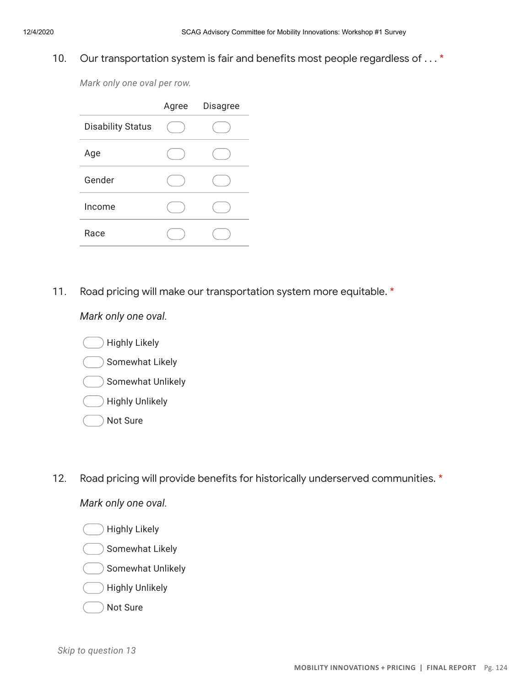#### 10. Our transportation system is fair and benefits most people regardless of . . . \*

*Mark only one oval per row.*

|                          | Agree Disagree |
|--------------------------|----------------|
| <b>Disability Status</b> |                |
| Age                      |                |
| Gender                   |                |
| Income                   |                |
| Race                     |                |

11. Road pricing will make our transportation system more equitable. \*

*Mark only one oval.*

- Highly Likely Somewhat Likely Somewhat Unlikely Highly Unlikely
- Not Sure
- 12. Road pricing will provide benefits for historically underserved communities. \*

*Mark only one oval.*

Highly Likely

- Somewhat Likely
- Somewhat Unlikely
- Highly Unlikely
- Not Sure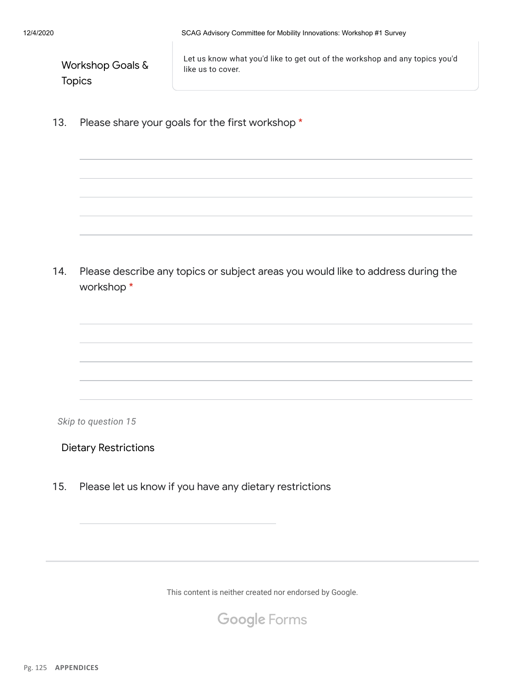| Workshop Goals & |
|------------------|
| <b>Topics</b>    |

Let us know what you'd like to get out of the workshop and any topics you'd like us to cover.

13. Please share your goals for the first workshop \*

14. Please describe any topics or subject areas you would like to address during the workshop \*

*Skip to question 15*

Dietary Restrictions

15. Please let us know if you have any dietary restrictions

This content is neither created nor endorsed by Google.

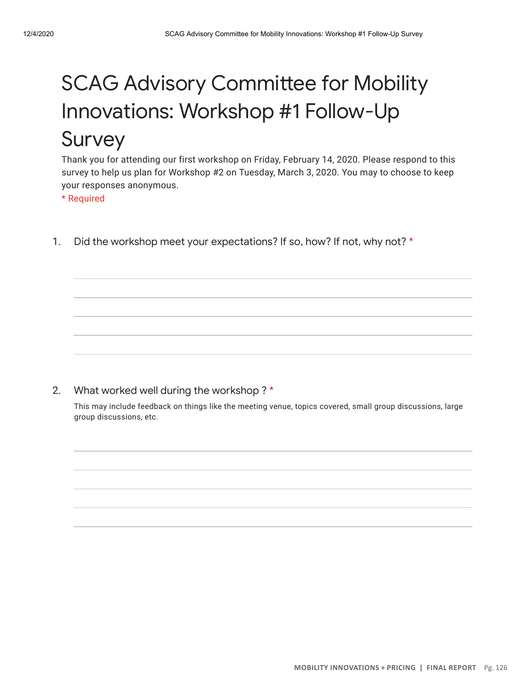## **SCAG Advisory Committee for Mobility** Innovations: Workshop #1 Follow-Up Survey

Thank you for attending our first workshop on Friday, February 14, 2020. Please respond to this survey to help us plan for Workshop #2 on Tuesday, March 3, 2020. You may to choose to keep your responses anonymous.

\* Required

1. Did the workshop meet your expectations? If so, how? If not, why not? \*

#### 2. What worked well during the workshop ? \*

This may include feedback on things like the meeting venue, topics covered, small group discussions, large group discussions, etc.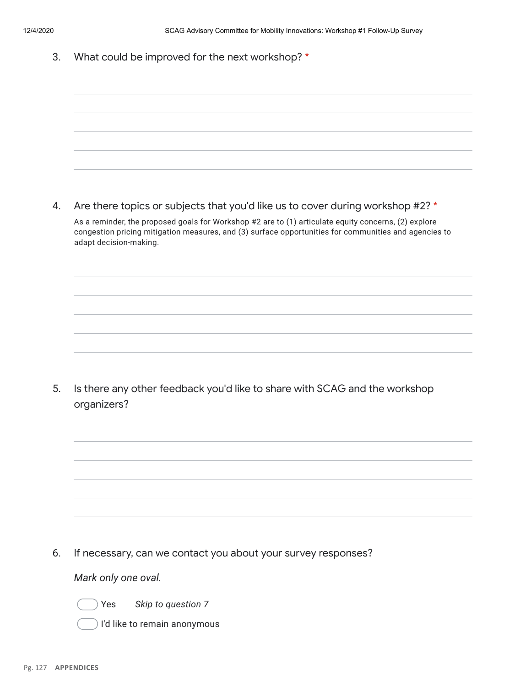3. What could be improved for the next workshop? \*

4. Are there topics or subjects that you'd like us to cover during workshop #2? \* As a reminder, the proposed goals for Workshop #2 are to (1) articulate equity concerns, (2) explore congestion pricing mitigation measures, and (3) surface opportunities for communities and agencies to adapt decision-making.

5. Is there any other feedback you'd like to share with SCAG and the workshop organizers?

6. If necessary, can we contact you about your survey responses?

*Mark only one oval.*



I'd like to remain anonymous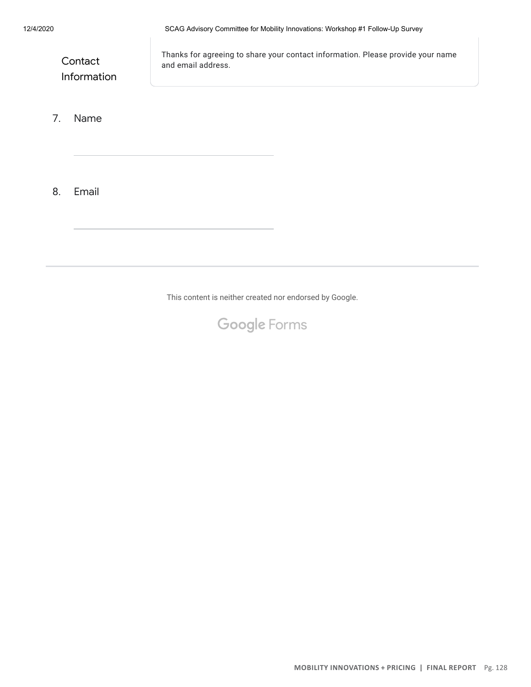**Contact** Information Thanks for agreeing to share your contact information. Please provide your name and email address.

#### 7. Name

8. Email

This content is neither created nor endorsed by Google.